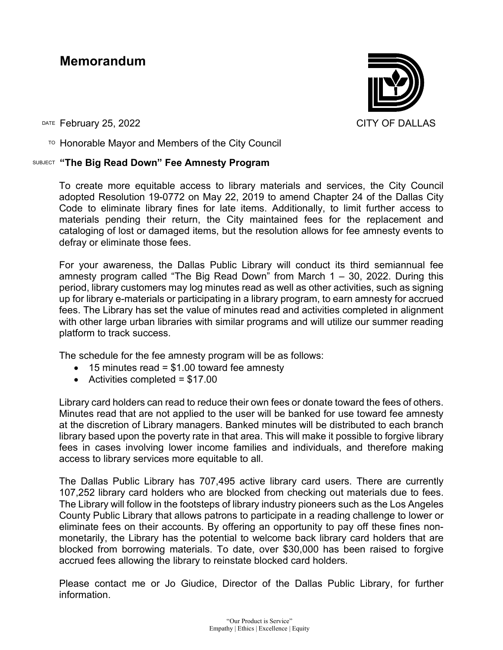## **Memorandum**



DATE February 25, 2022 CITY OF DALLAS

 $T$ <sup>O</sup> Honorable Mayor and Members of the City Council

## SUBJECT **"The Big Read Down" Fee Amnesty Program**

To create more equitable access to library materials and services, the City Council adopted Resolution 19-0772 on May 22, 2019 to amend Chapter 24 of the Dallas City Code to eliminate library fines for late items. Additionally, to limit further access to materials pending their return, the City maintained fees for the replacement and cataloging of lost or damaged items, but the resolution allows for fee amnesty events to defray or eliminate those fees.

For your awareness, the Dallas Public Library will conduct its third semiannual fee amnesty program called "The Big Read Down" from March  $1 - 30$ , 2022. During this period, library customers may log minutes read as well as other activities, such as signing up for library e-materials or participating in a library program, to earn amnesty for accrued fees. The Library has set the value of minutes read and activities completed in alignment with other large urban libraries with similar programs and will utilize our summer reading platform to track success.

The schedule for the fee amnesty program will be as follows:

- $\bullet$  15 minutes read = \$1.00 toward fee amnesty
- Activities completed  $= $17.00$

Library card holders can read to reduce their own fees or donate toward the fees of others. Minutes read that are not applied to the user will be banked for use toward fee amnesty at the discretion of Library managers. Banked minutes will be distributed to each branch library based upon the poverty rate in that area. This will make it possible to forgive library fees in cases involving lower income families and individuals, and therefore making access to library services more equitable to all.

The Dallas Public Library has 707,495 active library card users. There are currently 107,252 library card holders who are blocked from checking out materials due to fees. The Library will follow in the footsteps of library industry pioneers such as the Los Angeles County Public Library that allows patrons to participate in a reading challenge to lower or eliminate fees on their accounts. By offering an opportunity to pay off these fines nonmonetarily, the Library has the potential to welcome back library card holders that are blocked from borrowing materials. To date, over \$30,000 has been raised to forgive accrued fees allowing the library to reinstate blocked card holders.

Please contact me or Jo Giudice, Director of the Dallas Public Library, for further information.